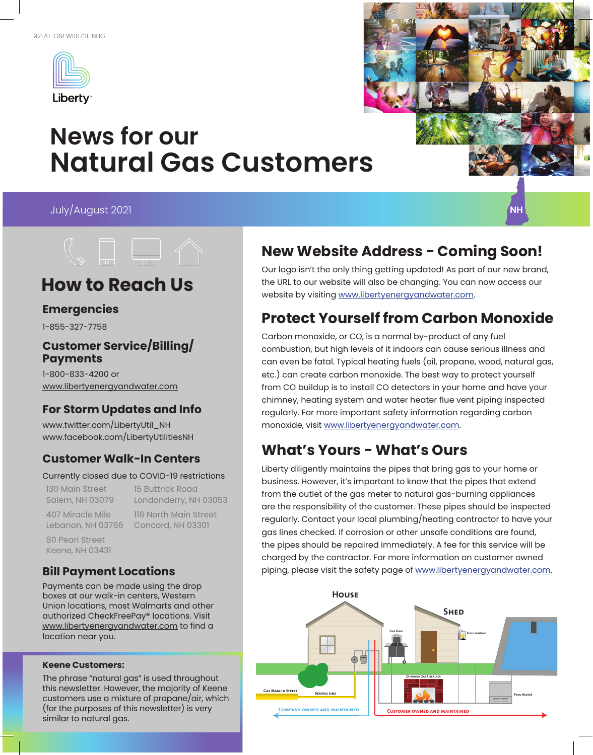

# **News for our Natural Gas Customers**

July/August 2021





## **How to Reach Us**

#### **Emergencies**

1-855-327-7758

#### **Customer Service/Billing/ Payments**

1-800-833-4200 or www.libertyenergyandwater.com

### **For Storm Updates and Info**

www.twitter.com/LibertyUtil\_NH www.facebook.com/LibertyUtilitiesNH

### **Customer Walk-In Centers**

#### Currently closed due to COVID-19 restrictions

130 Main Street 15 Buttrick Road

Salem, NH 03079 Londonderry, NH 03053 407 Miracle Mile 116 North Main Street

Lebanon, NH 03766 Concord, NH 03301

80 Pearl Street Keene, NH 03431

### **Bill Payment Locations**

Payments can be made using the drop boxes at our walk-in centers, Western Union locations, most Walmarts and other authorized CheckFreePay® locations. Visit www.libertyenergyandwater.com to find a location near you.

#### **Keene Customers:**

The phrase "natural gas" is used throughout this newsletter. However, the majority of Keene customers use a mixture of propane/air, which (for the purposes of this newsletter) is very similar to natural gas.

## **New Website Address - Coming Soon!**

Our logo isn't the only thing getting updated! As part of our new brand, the URL to our website will also be changing. You can now access our website by visiting www.libertyenergyandwater.com.

### **Protect Yourself from Carbon Monoxide**

Carbon monoxide, or CO, is a normal by-product of any fuel combustion, but high levels of it indoors can cause serious illness and can even be fatal. Typical heating fuels (oil, propane, wood, natural gas, etc.) can create carbon monoxide. The best way to protect yourself from CO buildup is to install CO detectors in your home and have your chimney, heating system and water heater flue vent piping inspected regularly. For more important safety information regarding carbon monoxide, visit www.libertyenergyandwater.com.

## **What's Yours - What's Ours**

Liberty diligently maintains the pipes that bring gas to your home or business. However, it's important to know that the pipes that extend from the outlet of the gas meter to natural gas-burning appliances are the responsibility of the customer. These pipes should be inspected regularly. Contact your local plumbing/heating contractor to have your gas lines checked. If corrosion or other unsafe conditions are found, the pipes should be repaired immediately. A fee for this service will be charged by the contractor. For more information on customer owned piping, please visit the safety page of www.libertyenergyandwater.com.